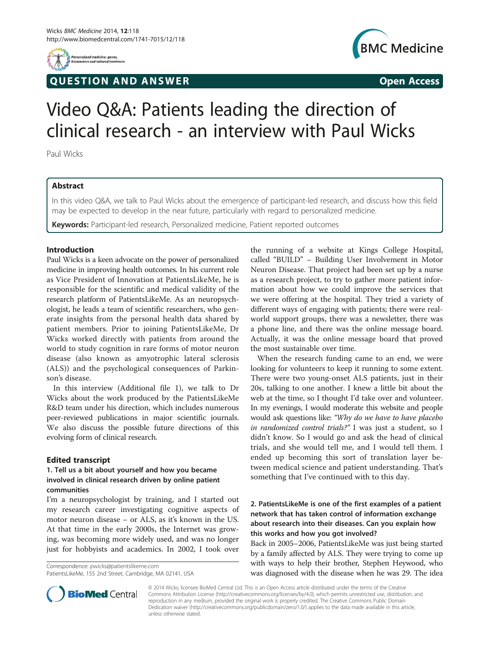

## **QUESTION AND ANSWER CONSUMING ACCESS**



# Video Q&A: Patients leading the direction of clinical research - an interview with Paul Wicks

Paul Wicks

### Abstract

In this video Q&A, we talk to Paul Wicks about the emergence of participant-led research, and discuss how this field may be expected to develop in the near future, particularly with regard to personalized medicine.

Keywords: Participant-led research, Personalized medicine, Patient reported outcomes

#### Introduction

Paul Wicks is a keen advocate on the power of personalized medicine in improving health outcomes. In his current role as Vice President of Innovation at PatientsLikeMe, he is responsible for the scientific and medical validity of the research platform of PatientsLikeMe. As an neuropsychologist, he leads a team of scientific researchers, who generate insights from the personal health data shared by patient members. Prior to joining PatientsLikeMe, Dr Wicks worked directly with patients from around the world to study cognition in rare forms of motor neuron disease (also known as amyotrophic lateral sclerosis (ALS)) and the psychological consequences of Parkinson's disease.

In this interview (Additional file [1\)](#page-7-0), we talk to Dr Wicks about the work produced by the PatientsLikeMe R&D team under his direction, which includes numerous peer-reviewed publications in major scientific journals. We also discuss the possible future directions of this evolving form of clinical research.

#### Edited transcript

#### 1. Tell us a bit about yourself and how you became involved in clinical research driven by online patient communities

I'm a neuropsychologist by training, and I started out my research career investigating cognitive aspects of motor neuron disease – or ALS, as it's known in the US. At that time in the early 2000s, the Internet was growing, was becoming more widely used, and was no longer just for hobbyists and academics. In 2002, I took over

Correspondence: [pwicks@patientslikeme.com](mailto:pwicks@patientslikeme.com)

the running of a website at Kings College Hospital, called "BUILD" – Building User Involvement in Motor Neuron Disease. That project had been set up by a nurse as a research project, to try to gather more patient information about how we could improve the services that we were offering at the hospital. They tried a variety of different ways of engaging with patients; there were realworld support groups, there was a newsletter, there was a phone line, and there was the online message board. Actually, it was the online message board that proved the most sustainable over time.

When the research funding came to an end, we were looking for volunteers to keep it running to some extent. There were two young-onset ALS patients, just in their 20s, talking to one another. I knew a little bit about the web at the time, so I thought I'd take over and volunteer. In my evenings, I would moderate this website and people would ask questions like: "Why do we have to have placebo in randomized control trials?" I was just a student, so I didn't know. So I would go and ask the head of clinical trials, and she would tell me, and I would tell them. I ended up becoming this sort of translation layer between medical science and patient understanding. That's something that I've continued with to this day.

### 2. PatientsLikeMe is one of the first examples of a patient network that has taken control of information exchange about research into their diseases. Can you explain how this works and how you got involved?

Back in 2005–2006, PatientsLikeMe was just being started by a family affected by ALS. They were trying to come up with ways to help their brother, Stephen Heywood, who was diagnosed with the disease when he was 29. The idea



© 2014 Wicks; licensee BioMed Central Ltd. This is an Open Access article distributed under the terms of the Creative Commons Attribution License (http://creativecommons.org/licenses/by/4.0), which permits unrestricted use, distribution, and reproduction in any medium, provided the original work is properly credited. The Creative Commons Public Domain Dedication waiver (http://creativecommons.org/publicdomain/zero/1.0/) applies to the data made available in this article, unless otherwise stated.

PatientsLikeMe, 155 2nd Street, Cambridge, MA 02141, USA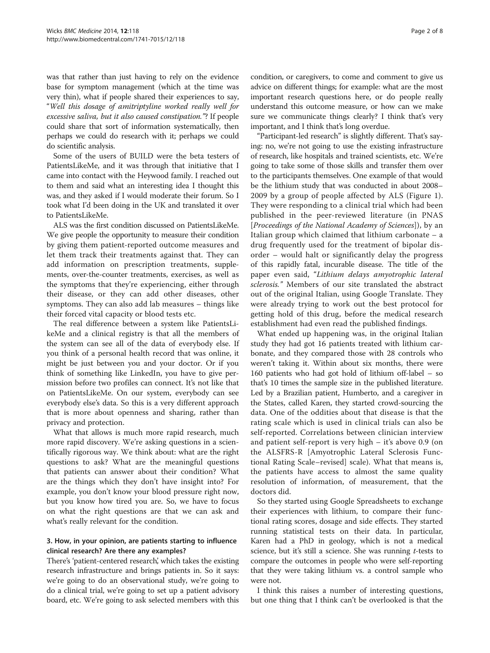was that rather than just having to rely on the evidence base for symptom management (which at the time was very thin), what if people shared their experiences to say, "Well this dosage of amitriptyline worked really well for excessive saliva, but it also caused constipation."? If people could share that sort of information systematically, then perhaps we could do research with it; perhaps we could do scientific analysis.

Some of the users of BUILD were the beta testers of PatientsLikeMe, and it was through that initiative that I came into contact with the Heywood family. I reached out to them and said what an interesting idea I thought this was, and they asked if I would moderate their forum. So I took what I'd been doing in the UK and translated it over to PatientsLikeMe.

ALS was the first condition discussed on PatientsLikeMe. We give people the opportunity to measure their condition by giving them patient-reported outcome measures and let them track their treatments against that. They can add information on prescription treatments, supplements, over-the-counter treatments, exercises, as well as the symptoms that they're experiencing, either through their disease, or they can add other diseases, other symptoms. They can also add lab measures – things like their forced vital capacity or blood tests etc.

The real difference between a system like PatientsLikeMe and a clinical registry is that all the members of the system can see all of the data of everybody else. If you think of a personal health record that was online, it might be just between you and your doctor. Or if you think of something like LinkedIn, you have to give permission before two profiles can connect. It's not like that on PatientsLikeMe. On our system, everybody can see everybody else's data. So this is a very different approach that is more about openness and sharing, rather than privacy and protection.

What that allows is much more rapid research, much more rapid discovery. We're asking questions in a scientifically rigorous way. We think about: what are the right questions to ask? What are the meaningful questions that patients can answer about their condition? What are the things which they don't have insight into? For example, you don't know your blood pressure right now, but you know how tired you are. So, we have to focus on what the right questions are that we can ask and what's really relevant for the condition.

#### 3. How, in your opinion, are patients starting to influence clinical research? Are there any examples?

There's 'patient-centered research', which takes the existing research infrastructure and brings patients in. So it says: we're going to do an observational study, we're going to do a clinical trial, we're going to set up a patient advisory board, etc. We're going to ask selected members with this

condition, or caregivers, to come and comment to give us advice on different things; for example: what are the most important research questions here, or do people really understand this outcome measure, or how can we make sure we communicate things clearly? I think that's very important, and I think that's long overdue.

"Participant-led research" is slightly different. That's saying: no, we're not going to use the existing infrastructure of research, like hospitals and trained scientists, etc. We're going to take some of those skills and transfer them over to the participants themselves. One example of that would be the lithium study that was conducted in about 2008– 2009 by a group of people affected by ALS (Figure [1](#page-2-0)). They were responding to a clinical trial which had been published in the peer-reviewed literature (in PNAS [Proceedings of the National Academy of Sciences]), by an Italian group which claimed that lithium carbonate – a drug frequently used for the treatment of bipolar disorder – would halt or significantly delay the progress of this rapidly fatal, incurable disease. The title of the paper even said, "Lithium delays amyotrophic lateral sclerosis." Members of our site translated the abstract out of the original Italian, using Google Translate. They were already trying to work out the best protocol for getting hold of this drug, before the medical research establishment had even read the published findings.

What ended up happening was, in the original Italian study they had got 16 patients treated with lithium carbonate, and they compared those with 28 controls who weren't taking it. Within about six months, there were 160 patients who had got hold of lithium off-label – so that's 10 times the sample size in the published literature. Led by a Brazilian patient, Humberto, and a caregiver in the States, called Karen, they started crowd-sourcing the data. One of the oddities about that disease is that the rating scale which is used in clinical trials can also be self-reported. Correlations between clinician interview and patient self-report is very high – it's above 0.9 (on the ALSFRS-R [Amyotrophic Lateral Sclerosis Functional Rating Scale–revised] scale). What that means is, the patients have access to almost the same quality resolution of information, of measurement, that the doctors did.

So they started using Google Spreadsheets to exchange their experiences with lithium, to compare their functional rating scores, dosage and side effects. They started running statistical tests on their data. In particular, Karen had a PhD in geology, which is not a medical science, but it's still a science. She was running t-tests to compare the outcomes in people who were self-reporting that they were taking lithium vs. a control sample who were not.

I think this raises a number of interesting questions, but one thing that I think can't be overlooked is that the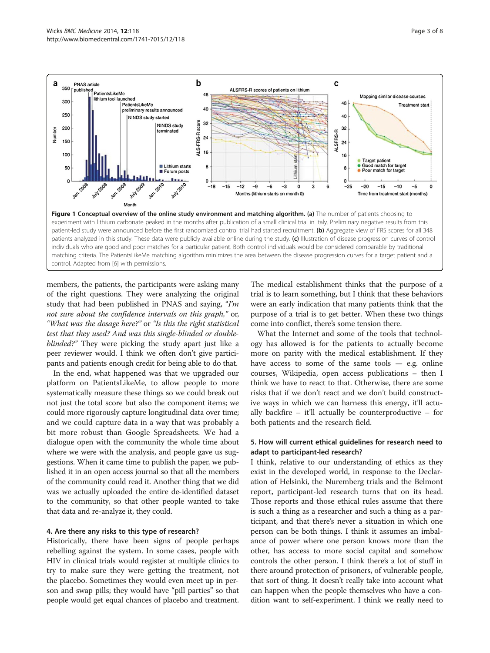<span id="page-2-0"></span>

control. Adapted from [\[6](#page-7-0)] with permissions.

members, the patients, the participants were asking many of the right questions. They were analyzing the original study that had been published in PNAS and saying,  $Tm$ not sure about the confidence intervals on this graph," or, "What was the dosage here?" or "Is this the right statistical test that they used? And was this single-blinded or doubleblinded?" They were picking the study apart just like a peer reviewer would. I think we often don't give participants and patients enough credit for being able to do that.

In the end, what happened was that we upgraded our platform on PatientsLikeMe, to allow people to more systematically measure these things so we could break out not just the total score but also the component items; we could more rigorously capture longitudinal data over time; and we could capture data in a way that was probably a bit more robust than Google Spreadsheets. We had a dialogue open with the community the whole time about where we were with the analysis, and people gave us suggestions. When it came time to publish the paper, we published it in an open access journal so that all the members of the community could read it. Another thing that we did was we actually uploaded the entire de-identified dataset to the community, so that other people wanted to take that data and re-analyze it, they could.

#### 4. Are there any risks to this type of research?

Historically, there have been signs of people perhaps rebelling against the system. In some cases, people with HIV in clinical trials would register at multiple clinics to try to make sure they were getting the treatment, not the placebo. Sometimes they would even meet up in person and swap pills; they would have "pill parties" so that people would get equal chances of placebo and treatment. The medical establishment thinks that the purpose of a trial is to learn something, but I think that these behaviors were an early indication that many patients think that the purpose of a trial is to get better. When these two things come into conflict, there's some tension there.

What the Internet and some of the tools that technology has allowed is for the patients to actually become more on parity with the medical establishment. If they have access to some of the same tools  $-$  e.g. online courses, Wikipedia, open access publications – then I think we have to react to that. Otherwise, there are some risks that if we don't react and we don't build constructive ways in which we can harness this energy, it'll actually backfire – it'll actually be counterproductive – for both patients and the research field.

#### 5. How will current ethical guidelines for research need to adapt to participant-led research?

I think, relative to our understanding of ethics as they exist in the developed world, in response to the Declaration of Helsinki, the Nuremberg trials and the Belmont report, participant-led research turns that on its head. Those reports and those ethical rules assume that there is such a thing as a researcher and such a thing as a participant, and that there's never a situation in which one person can be both things. I think it assumes an imbalance of power where one person knows more than the other, has access to more social capital and somehow controls the other person. I think there's a lot of stuff in there around protection of prisoners, of vulnerable people, that sort of thing. It doesn't really take into account what can happen when the people themselves who have a condition want to self-experiment. I think we really need to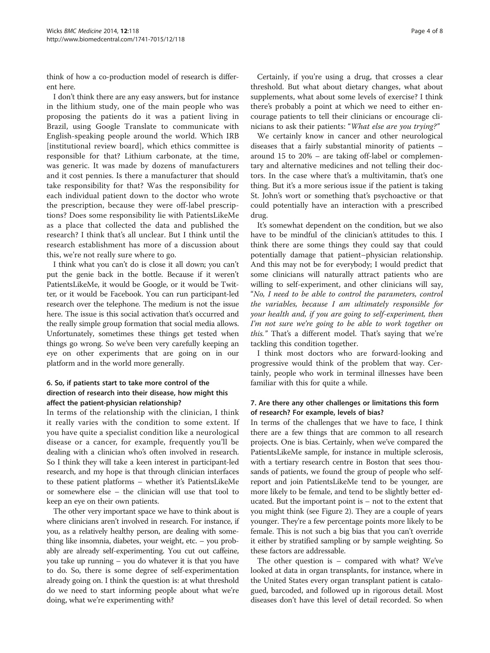think of how a co-production model of research is different here.

I don't think there are any easy answers, but for instance in the lithium study, one of the main people who was proposing the patients do it was a patient living in Brazil, using Google Translate to communicate with English-speaking people around the world. Which IRB [institutional review board], which ethics committee is responsible for that? Lithium carbonate, at the time, was generic. It was made by dozens of manufacturers and it cost pennies. Is there a manufacturer that should take responsibility for that? Was the responsibility for each individual patient down to the doctor who wrote the prescription, because they were off-label prescriptions? Does some responsibility lie with PatientsLikeMe as a place that collected the data and published the research? I think that's all unclear. But I think until the research establishment has more of a discussion about this, we're not really sure where to go.

I think what you can't do is close it all down; you can't put the genie back in the bottle. Because if it weren't PatientsLikeMe, it would be Google, or it would be Twitter, or it would be Facebook. You can run participant-led research over the telephone. The medium is not the issue here. The issue is this social activation that's occurred and the really simple group formation that social media allows. Unfortunately, sometimes these things get tested when things go wrong. So we've been very carefully keeping an eye on other experiments that are going on in our platform and in the world more generally.

#### 6. So, if patients start to take more control of the direction of research into their disease, how might this affect the patient-physician relationship?

In terms of the relationship with the clinician, I think it really varies with the condition to some extent. If you have quite a specialist condition like a neurological disease or a cancer, for example, frequently you'll be dealing with a clinician who's often involved in research. So I think they will take a keen interest in participant-led research, and my hope is that through clinician interfaces to these patient platforms – whether it's PatientsLikeMe or somewhere else – the clinician will use that tool to keep an eye on their own patients.

The other very important space we have to think about is where clinicians aren't involved in research. For instance, if you, as a relatively healthy person, are dealing with something like insomnia, diabetes, your weight, etc. – you probably are already self-experimenting. You cut out caffeine, you take up running – you do whatever it is that you have to do. So, there is some degree of self-experimentation already going on. I think the question is: at what threshold do we need to start informing people about what we're doing, what we're experimenting with?

Certainly, if you're using a drug, that crosses a clear threshold. But what about dietary changes, what about supplements, what about some levels of exercise? I think there's probably a point at which we need to either encourage patients to tell their clinicians or encourage clinicians to ask their patients: "What else are you trying?"

We certainly know in cancer and other neurological diseases that a fairly substantial minority of patients – around 15 to 20% – are taking off-label or complementary and alternative medicines and not telling their doctors. In the case where that's a multivitamin, that's one thing. But it's a more serious issue if the patient is taking St. John's wort or something that's psychoactive or that could potentially have an interaction with a prescribed drug.

It's somewhat dependent on the condition, but we also have to be mindful of the clinician's attitudes to this. I think there are some things they could say that could potentially damage that patient–physician relationship. And this may not be for everybody; I would predict that some clinicians will naturally attract patients who are willing to self-experiment, and other clinicians will say, "No, I need to be able to control the parameters, control the variables, because I am ultimately responsible for your health and, if you are going to self-experiment, then I'm not sure we're going to be able to work together on this." That's a different model. That's saying that we're tackling this condition together.

I think most doctors who are forward-looking and progressive would think of the problem that way. Certainly, people who work in terminal illnesses have been familiar with this for quite a while.

#### 7. Are there any other challenges or limitations this form of research? For example, levels of bias?

In terms of the challenges that we have to face, I think there are a few things that are common to all research projects. One is bias. Certainly, when we've compared the PatientsLikeMe sample, for instance in multiple sclerosis, with a tertiary research centre in Boston that sees thousands of patients, we found the group of people who selfreport and join PatientsLikeMe tend to be younger, are more likely to be female, and tend to be slightly better educated. But the important point is – not to the extent that you might think (see Figure [2](#page-4-0)). They are a couple of years younger. They're a few percentage points more likely to be female. This is not such a big bias that you can't override it either by stratified sampling or by sample weighting. So these factors are addressable.

The other question is – compared with what? We've looked at data in organ transplants, for instance, where in the United States every organ transplant patient is catalogued, barcoded, and followed up in rigorous detail. Most diseases don't have this level of detail recorded. So when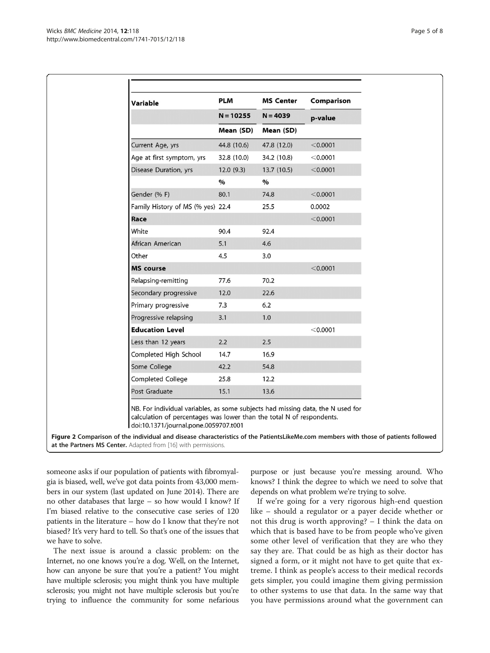<span id="page-4-0"></span>

| Variable                          | <b>PLM</b><br>$N = 10255$ | <b>MS Center</b><br>$N = 4039$ | Comparison<br>p-value |
|-----------------------------------|---------------------------|--------------------------------|-----------------------|
|                                   |                           |                                |                       |
| Current Age, yrs                  | 44.8 (10.6)               | 47.8 (12.0)                    | < 0.0001              |
| Age at first symptom, yrs         | 32.8 (10.0)               | 34.2 (10.8)                    | $<$ 0.0001            |
| Disease Duration, yrs             | 12.0(9.3)                 | 13.7(10.5)                     | < 0.0001              |
|                                   | $\%$                      | $\%$                           |                       |
| Gender (% F)                      | 80.1                      | 74.8                           | < 0.0001              |
| Family History of MS (% yes) 22.4 |                           | 25.5                           | 0.0002                |
| Race                              |                           |                                | < 0.0001              |
| White                             | 90.4                      | 92.4                           |                       |
| African American                  | 5.1                       | 4.6                            |                       |
| Other                             | 4.5                       | 3.0                            |                       |
| <b>MS</b> course                  |                           |                                | < 0.0001              |
| Relapsing-remitting               | 77.6                      | 70.2                           |                       |
| Secondary progressive             | 12.0                      | 22.6                           |                       |
| Primary progressive               | 7.3                       | 6.2                            |                       |
| Progressive relapsing             | 3.1                       | 1.0                            |                       |
| <b>Education Level</b>            |                           |                                | < 0.0001              |
| Less than 12 years                | 2.2                       | 2.5                            |                       |
| Completed High School             | 14.7                      | 16.9                           |                       |
| Some College                      | 42.2                      | 54.8                           |                       |
| Completed College                 | 25.8                      | 12.2                           |                       |
| Post Graduate                     | 15.1                      | 13.6                           |                       |

Figure 2 Comparison of the individual and disease characteristics of the PatientsLikeMe.com members with those of patients followed at the Partners MS Center. Adapted from [\[16\]](#page-7-0) with permissions.

someone asks if our population of patients with fibromyalgia is biased, well, we've got data points from 43,000 members in our system (last updated on June 2014). There are no other databases that large – so how would I know? If I'm biased relative to the consecutive case series of 120 patients in the literature – how do I know that they're not biased? It's very hard to tell. So that's one of the issues that we have to solve.

The next issue is around a classic problem: on the Internet, no one knows you're a dog. Well, on the Internet, how can anyone be sure that you're a patient? You might have multiple sclerosis; you might think you have multiple sclerosis; you might not have multiple sclerosis but you're trying to influence the community for some nefarious

purpose or just because you're messing around. Who knows? I think the degree to which we need to solve that depends on what problem we're trying to solve.

If we're going for a very rigorous high-end question like – should a regulator or a payer decide whether or not this drug is worth approving? – I think the data on which that is based have to be from people who've given some other level of verification that they are who they say they are. That could be as high as their doctor has signed a form, or it might not have to get quite that extreme. I think as people's access to their medical records gets simpler, you could imagine them giving permission to other systems to use that data. In the same way that you have permissions around what the government can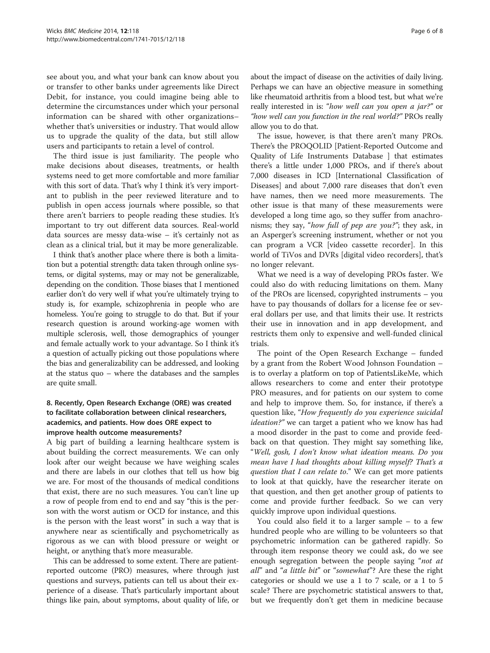see about you, and what your bank can know about you or transfer to other banks under agreements like Direct Debit, for instance, you could imagine being able to determine the circumstances under which your personal information can be shared with other organizations– whether that's universities or industry. That would allow us to upgrade the quality of the data, but still allow users and participants to retain a level of control.

The third issue is just familiarity. The people who make decisions about diseases, treatments, or health systems need to get more comfortable and more familiar with this sort of data. That's why I think it's very important to publish in the peer reviewed literature and to publish in open access journals where possible, so that there aren't barriers to people reading these studies. It's important to try out different data sources. Real-world data sources are messy data-wise – it's certainly not as clean as a clinical trial, but it may be more generalizable.

I think that's another place where there is both a limitation but a potential strength: data taken through online systems, or digital systems, may or may not be generalizable, depending on the condition. Those biases that I mentioned earlier don't do very well if what you're ultimately trying to study is, for example, schizophrenia in people who are homeless. You're going to struggle to do that. But if your research question is around working-age women with multiple sclerosis, well, those demographics of younger and female actually work to your advantage. So I think it's a question of actually picking out those populations where the bias and generalizability can be addressed, and looking at the status quo – where the databases and the samples are quite small.

## 8. Recently, Open Research Exchange (ORE) was created to facilitate collaboration between clinical researchers, academics, and patients. How does ORE expect to improve health outcome measurements?

A big part of building a learning healthcare system is about building the correct measurements. We can only look after our weight because we have weighing scales and there are labels in our clothes that tell us how big we are. For most of the thousands of medical conditions that exist, there are no such measures. You can't line up a row of people from end to end and say "this is the person with the worst autism or OCD for instance, and this is the person with the least worst" in such a way that is anywhere near as scientifically and psychometrically as rigorous as we can with blood pressure or weight or height, or anything that's more measurable.

This can be addressed to some extent. There are patientreported outcome (PRO) measures, where through just questions and surveys, patients can tell us about their experience of a disease. That's particularly important about things like pain, about symptoms, about quality of life, or

about the impact of disease on the activities of daily living. Perhaps we can have an objective measure in something like rheumatoid arthritis from a blood test, but what we're really interested in is: "how well can you open a jar?" or "how well can you function in the real world?" PROs really allow you to do that.

The issue, however, is that there aren't many PROs. There's the PROQOLID [Patient-Reported Outcome and Quality of Life Instruments Database ] that estimates there's a little under 1,000 PROs, and if there's about 7,000 diseases in ICD [International Classification of Diseases] and about 7,000 rare diseases that don't even have names, then we need more measurements. The other issue is that many of these measurements were developed a long time ago, so they suffer from anachronisms; they say, "how full of pep are you?"; they ask, in an Asperger's screening instrument, whether or not you can program a VCR [video cassette recorder]. In this world of TiVos and DVRs [digital video recorders], that's no longer relevant.

What we need is a way of developing PROs faster. We could also do with reducing limitations on them. Many of the PROs are licensed, copyrighted instruments – you have to pay thousands of dollars for a license fee or several dollars per use, and that limits their use. It restricts their use in innovation and in app development, and restricts them only to expensive and well-funded clinical trials.

The point of the Open Research Exchange – funded by a grant from the Robert Wood Johnson Foundation – is to overlay a platform on top of PatientsLikeMe, which allows researchers to come and enter their prototype PRO measures, and for patients on our system to come and help to improve them. So, for instance, if there's a question like, "How frequently do you experience suicidal ideation?" we can target a patient who we know has had a mood disorder in the past to come and provide feedback on that question. They might say something like, "Well, gosh, I don't know what ideation means. Do you mean have I had thoughts about killing myself? That's a question that I can relate to." We can get more patients to look at that quickly, have the researcher iterate on that question, and then get another group of patients to come and provide further feedback. So we can very quickly improve upon individual questions.

You could also field it to a larger sample – to a few hundred people who are willing to be volunteers so that psychometric information can be gathered rapidly. So through item response theory we could ask, do we see enough segregation between the people saying "not at all" and "a little bit" or "somewhat"? Are these the right categories or should we use a 1 to 7 scale, or a 1 to 5 scale? There are psychometric statistical answers to that, but we frequently don't get them in medicine because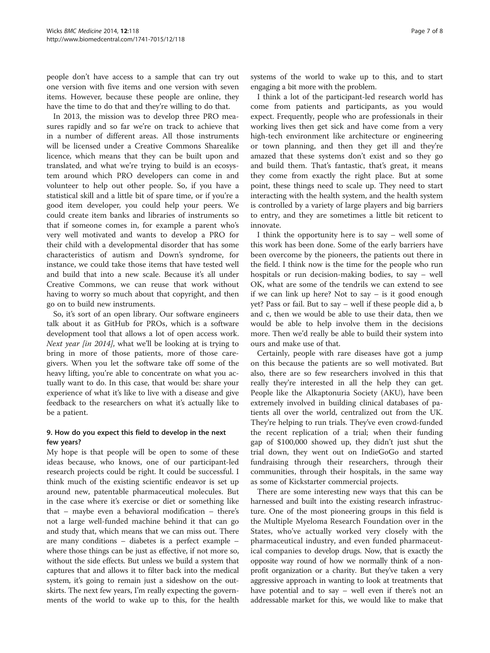people don't have access to a sample that can try out one version with five items and one version with seven items. However, because these people are online, they have the time to do that and they're willing to do that.

In 2013, the mission was to develop three PRO measures rapidly and so far we're on track to achieve that in a number of different areas. All those instruments will be licensed under a Creative Commons Sharealike licence, which means that they can be built upon and translated, and what we're trying to build is an ecosystem around which PRO developers can come in and volunteer to help out other people. So, if you have a statistical skill and a little bit of spare time, or if you're a good item developer, you could help your peers. We could create item banks and libraries of instruments so that if someone comes in, for example a parent who's very well motivated and wants to develop a PRO for their child with a developmental disorder that has some characteristics of autism and Down's syndrome, for instance, we could take those items that have tested well and build that into a new scale. Because it's all under Creative Commons, we can reuse that work without having to worry so much about that copyright, and then go on to build new instruments.

So, it's sort of an open library. Our software engineers talk about it as GitHub for PROs, which is a software development tool that allows a lot of open access work. Next year [in 2014], what we'll be looking at is trying to bring in more of those patients, more of those caregivers. When you let the software take off some of the heavy lifting, you're able to concentrate on what you actually want to do. In this case, that would be: share your experience of what it's like to live with a disease and give feedback to the researchers on what it's actually like to be a patient.

#### 9. How do you expect this field to develop in the next few years?

My hope is that people will be open to some of these ideas because, who knows, one of our participant-led research projects could be right. It could be successful. I think much of the existing scientific endeavor is set up around new, patentable pharmaceutical molecules. But in the case where it's exercise or diet or something like that – maybe even a behavioral modification – there's not a large well-funded machine behind it that can go and study that, which means that we can miss out. There are many conditions – diabetes is a perfect example – where those things can be just as effective, if not more so, without the side effects. But unless we build a system that captures that and allows it to filter back into the medical system, it's going to remain just a sideshow on the outskirts. The next few years, I'm really expecting the governments of the world to wake up to this, for the health systems of the world to wake up to this, and to start engaging a bit more with the problem.

I think a lot of the participant-led research world has come from patients and participants, as you would expect. Frequently, people who are professionals in their working lives then get sick and have come from a very high-tech environment like architecture or engineering or town planning, and then they get ill and they're amazed that these systems don't exist and so they go and build them. That's fantastic, that's great, it means they come from exactly the right place. But at some point, these things need to scale up. They need to start interacting with the health system, and the health system is controlled by a variety of large players and big barriers to entry, and they are sometimes a little bit reticent to innovate.

I think the opportunity here is to say – well some of this work has been done. Some of the early barriers have been overcome by the pioneers, the patients out there in the field. I think now is the time for the people who run hospitals or run decision-making bodies, to say – well OK, what are some of the tendrils we can extend to see if we can link up here? Not to say – is it good enough yet? Pass or fail. But to say – well if these people did a, b and c, then we would be able to use their data, then we would be able to help involve them in the decisions more. Then we'd really be able to build their system into ours and make use of that.

Certainly, people with rare diseases have got a jump on this because the patients are so well motivated. But also, there are so few researchers involved in this that really they're interested in all the help they can get. People like the Alkaptonuria Society (AKU), have been extremely involved in building clinical databases of patients all over the world, centralized out from the UK. They're helping to run trials. They've even crowd-funded the recent replication of a trial; when their funding gap of \$100,000 showed up, they didn't just shut the trial down, they went out on IndieGoGo and started fundraising through their researchers, through their communities, through their hospitals, in the same way as some of Kickstarter commercial projects.

There are some interesting new ways that this can be harnessed and built into the existing research infrastructure. One of the most pioneering groups in this field is the Multiple Myeloma Research Foundation over in the States, who've actually worked very closely with the pharmaceutical industry, and even funded pharmaceutical companies to develop drugs. Now, that is exactly the opposite way round of how we normally think of a nonprofit organization or a charity. But they've taken a very aggressive approach in wanting to look at treatments that have potential and to say – well even if there's not an addressable market for this, we would like to make that